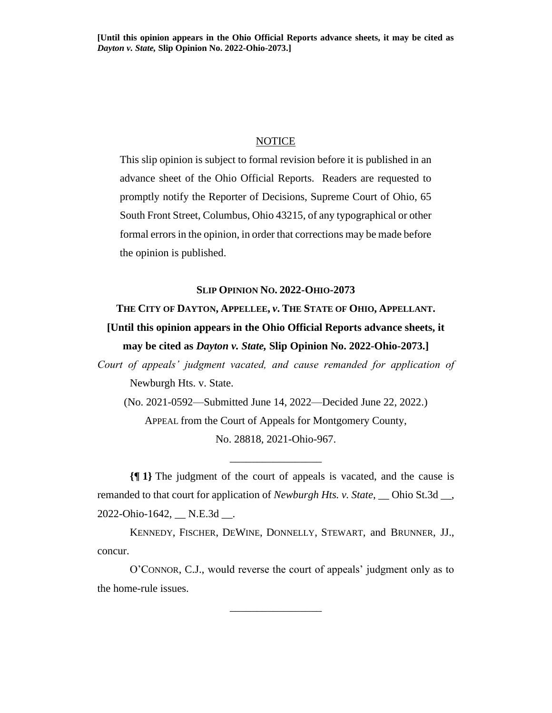## NOTICE

This slip opinion is subject to formal revision before it is published in an advance sheet of the Ohio Official Reports. Readers are requested to promptly notify the Reporter of Decisions, Supreme Court of Ohio, 65 South Front Street, Columbus, Ohio 43215, of any typographical or other formal errors in the opinion, in order that corrections may be made before the opinion is published.

## **SLIP OPINION NO. 2022-OHIO-2073**

## **THE CITY OF DAYTON, APPELLEE,** *v***. THE STATE OF OHIO, APPELLANT. [Until this opinion appears in the Ohio Official Reports advance sheets, it may be cited as** *Dayton v. State,* **Slip Opinion No. 2022-Ohio-2073.]**

*Court of appeals' judgment vacated, and cause remanded for application of*  Newburgh Hts. v. State.

(No. 2021-0592—Submitted June 14, 2022—Decided June 22, 2022.) APPEAL from the Court of Appeals for Montgomery County, No. 28818, 2021-Ohio-967.

**{¶ 1}** The judgment of the court of appeals is vacated, and the cause is remanded to that court for application of *Newburgh Hts. v. State*, \_\_ Ohio St.3d \_\_, 2022-Ohio-1642, \_\_ N.E.3d \_\_.

\_\_\_\_\_\_\_\_\_\_\_\_\_\_\_\_\_

KENNEDY, FISCHER, DEWINE, DONNELLY, STEWART, and BRUNNER, JJ., concur.

O'CONNOR, C.J., would reverse the court of appeals' judgment only as to the home-rule issues.

\_\_\_\_\_\_\_\_\_\_\_\_\_\_\_\_\_